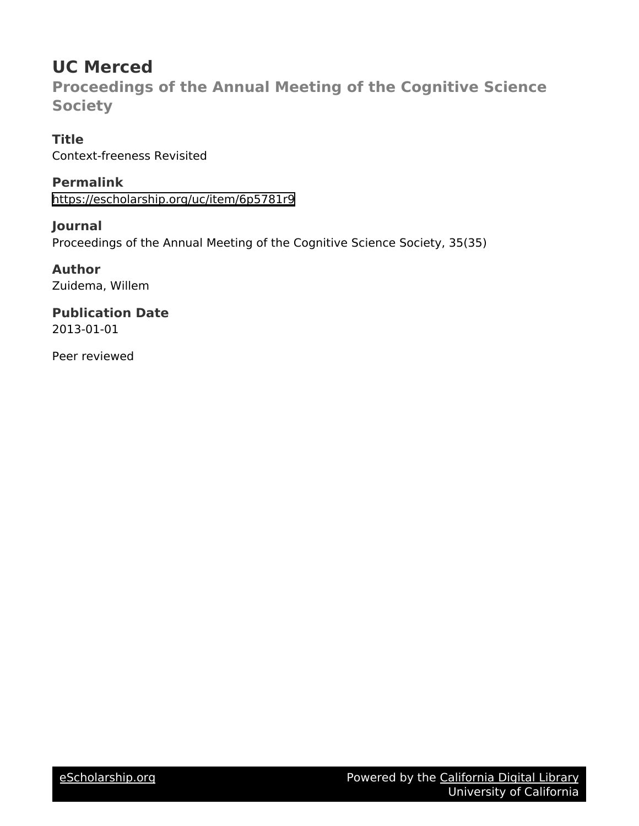# **UC Merced**

**Proceedings of the Annual Meeting of the Cognitive Science Society**

**Title** Context-freeness Revisited

**Permalink** <https://escholarship.org/uc/item/6p5781r9>

**Journal** Proceedings of the Annual Meeting of the Cognitive Science Society, 35(35)

**Author** Zuidema, Willem

**Publication Date** 2013-01-01

Peer reviewed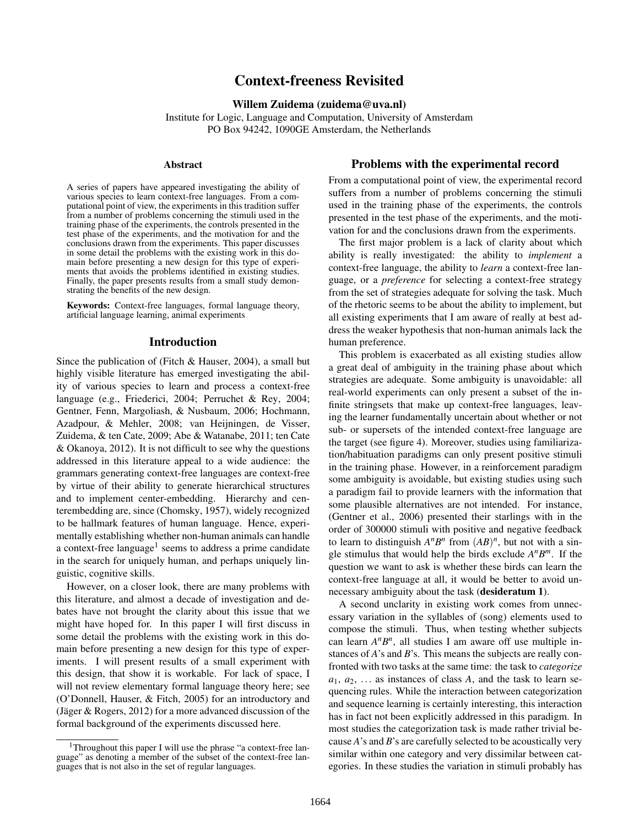## Context-freeness Revisited

#### Willem Zuidema (zuidema@uva.nl)

Institute for Logic, Language and Computation, University of Amsterdam PO Box 94242, 1090GE Amsterdam, the Netherlands

#### Abstract

A series of papers have appeared investigating the ability of various species to learn context-free languages. From a computational point of view, the experiments in this tradition suffer from a number of problems concerning the stimuli used in the training phase of the experiments, the controls presented in the test phase of the experiments, and the motivation for and the conclusions drawn from the experiments. This paper discusses in some detail the problems with the existing work in this domain before presenting a new design for this type of experiments that avoids the problems identified in existing studies. Finally, the paper presents results from a small study demonstrating the benefits of the new design.

Keywords: Context-free languages, formal language theory, artificial language learning, animal experiments

#### Introduction

Since the publication of (Fitch & Hauser, 2004), a small but highly visible literature has emerged investigating the ability of various species to learn and process a context-free language (e.g., Friederici, 2004; Perruchet & Rey, 2004; Gentner, Fenn, Margoliash, & Nusbaum, 2006; Hochmann, Azadpour, & Mehler, 2008; van Heijningen, de Visser, Zuidema, & ten Cate, 2009; Abe & Watanabe, 2011; ten Cate & Okanoya, 2012). It is not difficult to see why the questions addressed in this literature appeal to a wide audience: the grammars generating context-free languages are context-free by virtue of their ability to generate hierarchical structures and to implement center-embedding. Hierarchy and centerembedding are, since (Chomsky, 1957), widely recognized to be hallmark features of human language. Hence, experimentally establishing whether non-human animals can handle a context-free language<sup>1</sup> seems to address a prime candidate in the search for uniquely human, and perhaps uniquely linguistic, cognitive skills.

However, on a closer look, there are many problems with this literature, and almost a decade of investigation and debates have not brought the clarity about this issue that we might have hoped for. In this paper I will first discuss in some detail the problems with the existing work in this domain before presenting a new design for this type of experiments. I will present results of a small experiment with this design, that show it is workable. For lack of space, I will not review elementary formal language theory here; see (O'Donnell, Hauser, & Fitch, 2005) for an introductory and (Jäger & Rogers, 2012) for a more advanced discussion of the formal background of the experiments discussed here.

#### Problems with the experimental record

From a computational point of view, the experimental record suffers from a number of problems concerning the stimuli used in the training phase of the experiments, the controls presented in the test phase of the experiments, and the motivation for and the conclusions drawn from the experiments.

The first major problem is a lack of clarity about which ability is really investigated: the ability to *implement* a context-free language, the ability to *learn* a context-free language, or a *preference* for selecting a context-free strategy from the set of strategies adequate for solving the task. Much of the rhetoric seems to be about the ability to implement, but all existing experiments that I am aware of really at best address the weaker hypothesis that non-human animals lack the human preference.

This problem is exacerbated as all existing studies allow a great deal of ambiguity in the training phase about which strategies are adequate. Some ambiguity is unavoidable: all real-world experiments can only present a subset of the infinite stringsets that make up context-free languages, leaving the learner fundamentally uncertain about whether or not sub- or supersets of the intended context-free language are the target (see figure 4). Moreover, studies using familiarization/habituation paradigms can only present positive stimuli in the training phase. However, in a reinforcement paradigm some ambiguity is avoidable, but existing studies using such a paradigm fail to provide learners with the information that some plausible alternatives are not intended. For instance, (Gentner et al., 2006) presented their starlings with in the order of 300000 stimuli with positive and negative feedback to learn to distinguish  $A^n B^n$  from  $(AB)^n$ , but not with a single stimulus that would help the birds exclude  $A^n B^m$ . If the question we want to ask is whether these birds can learn the context-free language at all, it would be better to avoid unnecessary ambiguity about the task (desideratum 1).

A second unclarity in existing work comes from unnecessary variation in the syllables of (song) elements used to compose the stimuli. Thus, when testing whether subjects can learn  $A^nB^n$ , all studies I am aware off use multiple instances of *A*'s and *B*'s. This means the subjects are really confronted with two tasks at the same time: the task to *categorize*  $a_1, a_2, \ldots$  as instances of class *A*, and the task to learn sequencing rules. While the interaction between categorization and sequence learning is certainly interesting, this interaction has in fact not been explicitly addressed in this paradigm. In most studies the categorization task is made rather trivial because *A*'s and *B*'s are carefully selected to be acoustically very similar within one category and very dissimilar between categories. In these studies the variation in stimuli probably has

<sup>1</sup>Throughout this paper I will use the phrase "a context-free language" as denoting a member of the subset of the context-free languages that is not also in the set of regular languages.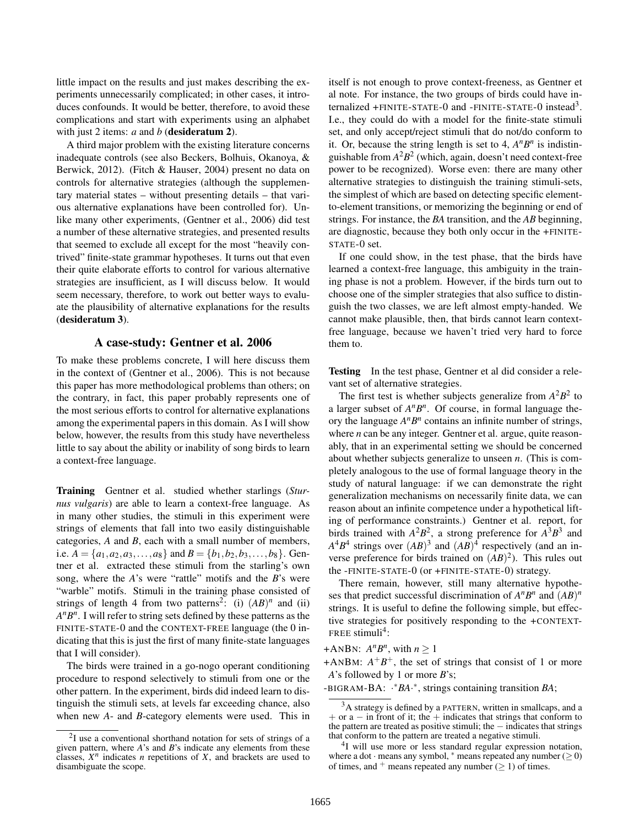little impact on the results and just makes describing the experiments unnecessarily complicated; in other cases, it introduces confounds. It would be better, therefore, to avoid these complications and start with experiments using an alphabet with just 2 items: *a* and *b* (**desideratum 2**).

A third major problem with the existing literature concerns inadequate controls (see also Beckers, Bolhuis, Okanoya, & Berwick, 2012). (Fitch & Hauser, 2004) present no data on controls for alternative strategies (although the supplementary material states – without presenting details – that various alternative explanations have been controlled for). Unlike many other experiments, (Gentner et al., 2006) did test a number of these alternative strategies, and presented results that seemed to exclude all except for the most "heavily contrived" finite-state grammar hypotheses. It turns out that even their quite elaborate efforts to control for various alternative strategies are insufficient, as I will discuss below. It would seem necessary, therefore, to work out better ways to evaluate the plausibility of alternative explanations for the results (desideratum 3).

#### A case-study: Gentner et al. 2006

To make these problems concrete, I will here discuss them in the context of (Gentner et al., 2006). This is not because this paper has more methodological problems than others; on the contrary, in fact, this paper probably represents one of the most serious efforts to control for alternative explanations among the experimental papers in this domain. As I will show below, however, the results from this study have nevertheless little to say about the ability or inability of song birds to learn a context-free language.

Training Gentner et al. studied whether starlings (*Sturnus vulgaris*) are able to learn a context-free language. As in many other studies, the stimuli in this experiment were strings of elements that fall into two easily distinguishable categories, *A* and *B*, each with a small number of members, i.e.  $A = \{a_1, a_2, a_3, \ldots, a_8\}$  and  $B = \{b_1, b_2, b_3, \ldots, b_8\}$ . Gentner et al. extracted these stimuli from the starling's own song, where the *A*'s were "rattle" motifs and the *B*'s were "warble" motifs. Stimuli in the training phase consisted of strings of length 4 from two patterns<sup>2</sup>: (i)  $(AB)^n$  and (ii)  $A^n B^n$ . I will refer to string sets defined by these patterns as the FINITE-STATE-0 and the CONTEXT-FREE language (the 0 indicating that this is just the first of many finite-state languages that I will consider).

The birds were trained in a go-nogo operant conditioning procedure to respond selectively to stimuli from one or the other pattern. In the experiment, birds did indeed learn to distinguish the stimuli sets, at levels far exceeding chance, also when new *A*- and *B*-category elements were used. This in itself is not enough to prove context-freeness, as Gentner et al note. For instance, the two groups of birds could have internalized  $+$ FINITE-STATE-0 and -FINITE-STATE-0 instead<sup>3</sup>. I.e., they could do with a model for the finite-state stimuli set, and only accept/reject stimuli that do not/do conform to it. Or, because the string length is set to 4,  $A^n B^n$  is indistinguishable from *A* 2*B* 2 (which, again, doesn't need context-free power to be recognized). Worse even: there are many other alternative strategies to distinguish the training stimuli-sets, the simplest of which are based on detecting specific elementto-element transitions, or memorizing the beginning or end of strings. For instance, the *BA* transition, and the *AB* beginning, are diagnostic, because they both only occur in the +FINITE-STATE-0 set.

If one could show, in the test phase, that the birds have learned a context-free language, this ambiguity in the training phase is not a problem. However, if the birds turn out to choose one of the simpler strategies that also suffice to distinguish the two classes, we are left almost empty-handed. We cannot make plausible, then, that birds cannot learn contextfree language, because we haven't tried very hard to force them to.

Testing In the test phase, Gentner et al did consider a relevant set of alternative strategies.

The first test is whether subjects generalize from  $A^2B^2$  to a larger subset of  $A^nB^n$ . Of course, in formal language theory the language  $A^n B^n$  contains an infinite number of strings, where *n* can be any integer. Gentner et al. argue, quite reasonably, that in an experimental setting we should be concerned about whether subjects generalize to unseen *n*. (This is completely analogous to the use of formal language theory in the study of natural language: if we can demonstrate the right generalization mechanisms on necessarily finite data, we can reason about an infinite competence under a hypothetical lifting of performance constraints.) Gentner et al. report, for birds trained with  $A^2B^2$ , a strong preference for  $A^3B^3$  and  $A^4B^4$  strings over  $(AB)^3$  and  $(AB)^4$  respectively (and an inverse preference for birds trained on  $(AB)^2$ ). This rules out the -FINITE-STATE-0 (or +FINITE-STATE-0) strategy.

There remain, however, still many alternative hypotheses that predict successful discrimination of  $A^nB^n$  and  $(AB)^n$ strings. It is useful to define the following simple, but effective strategies for positively responding to the +CONTEXT-FREE stimuli<sup>4</sup>:

### +ANBN:  $A^n B^n$ , with  $n \ge 1$

<sup>2</sup> I use a conventional shorthand notation for sets of strings of a given pattern, where *A*'s and *B*'s indicate any elements from these classes,  $X^n$  indicates *n* repetitions of *X*, and brackets are used to disambiguate the scope.

 $+ANBM$ :  $A^{+}B^{+}$ , the set of strings that consist of 1 or more *A*'s followed by 1 or more *B*'s;

<sup>-</sup>BIGRAM-BA: · <sup>∗</sup>*BA*· ∗ , strings containing transition *BA*;

 $3A$  strategy is defined by a PATTERN, written in smallcaps, and a  $+$  or a – in front of it; the  $+$  indicates that strings that conform to the pattern are treated as positive stimuli; the  $-$  indicates that strings that conform to the pattern are treated a negative stimuli.

<sup>&</sup>lt;sup>4</sup>I will use more or less standard regular expression notation, where a dot · means any symbol, \* means repeated any number ( $\geq$  0) of times, and  $+$  means repeated any number ( $\geq$  1) of times.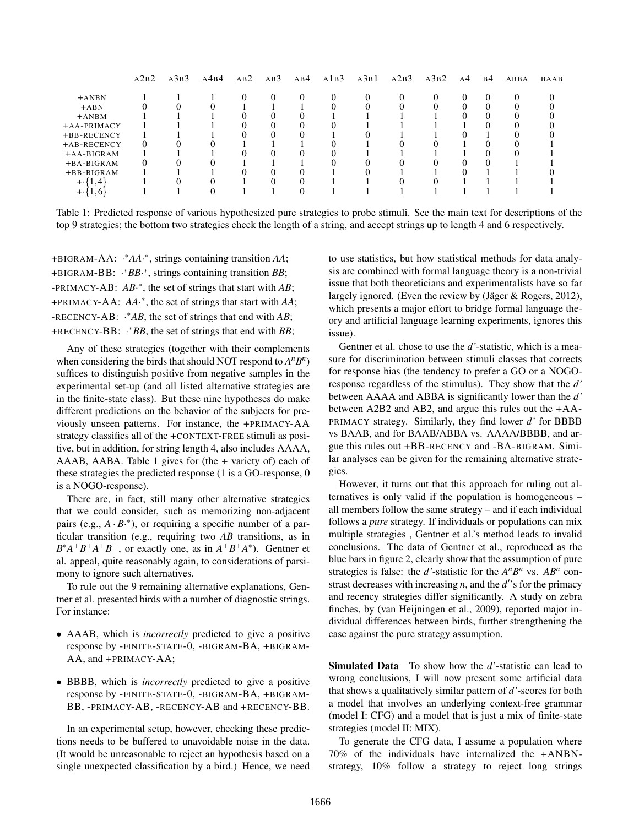|                   | A2B2     | A3B3 | A4B4 | AB2 | AB3 | AB4          | A1B3 | A3B1 | A2B3 | A3B2 | A <sup>4</sup> | <b>B4</b> | ABBA | BAAB |
|-------------------|----------|------|------|-----|-----|--------------|------|------|------|------|----------------|-----------|------|------|
| $+ANDN$           |          |      |      |     |     | $\mathbf{0}$ | 0    |      | 0    | 0    |                | $^{(1)}$  |      |      |
| $+ABN$            |          |      |      |     |     |              |      |      |      |      |                |           |      |      |
| $+$ ANBM          |          |      |      |     |     |              |      |      |      |      |                |           |      |      |
| $+A$ A-PRIMACY    |          |      |      |     |     |              |      |      |      |      |                |           |      |      |
| +BB-RECENCY       |          |      |      |     |     |              |      |      |      |      |                |           |      |      |
| +AB-RECENCY       | $\theta$ |      |      |     |     |              |      |      |      |      |                |           |      |      |
| $+A A-B I GRAM$   |          |      |      |     |     | 0            |      |      |      |      |                |           |      |      |
| $+BA-BIGRAM$      | $\Omega$ |      |      |     |     |              |      |      |      |      |                |           |      |      |
| $+BB-BIGRAM$      |          |      |      |     |     |              |      |      |      |      |                |           |      |      |
| $+ \cdot \{1,4\}$ |          |      |      |     |     |              |      |      |      |      |                |           |      |      |
| $+ \cdot \{1,6\}$ |          |      |      |     |     |              |      |      |      |      |                |           |      |      |

Table 1: Predicted response of various hypothesized pure strategies to probe stimuli. See the main text for descriptions of the top 9 strategies; the bottom two strategies check the length of a string, and accept strings up to length 4 and 6 respectively.

+BIGRAM-AA: · <sup>∗</sup>*AA*· ∗ , strings containing transition *AA*; +BIGRAM-BB: · <sup>∗</sup>*BB*· ∗ , strings containing transition *BB*; -PRIMACY-AB: *AB*· ∗ , the set of strings that start with *AB*; +PRIMACY-AA: *AA*· ∗ , the set of strings that start with *AA*; -RECENCY-AB: · <sup>∗</sup>*AB*, the set of strings that end with *AB*; +RECENCY-BB: · <sup>∗</sup>*BB*, the set of strings that end with *BB*;

Any of these strategies (together with their complements when considering the birds that should NOT respond to  $A^nB^n$ ) suffices to distinguish positive from negative samples in the experimental set-up (and all listed alternative strategies are in the finite-state class). But these nine hypotheses do make different predictions on the behavior of the subjects for previously unseen patterns. For instance, the +PRIMACY-AA strategy classifies all of the +CONTEXT-FREE stimuli as positive, but in addition, for string length 4, also includes AAAA, AAAB, AABA. Table 1 gives for (the + variety of) each of these strategies the predicted response (1 is a GO-response, 0 is a NOGO-response).

There are, in fact, still many other alternative strategies that we could consider, such as memorizing non-adjacent pairs (e.g.,  $A \cdot B^*$ ), or requiring a specific number of a particular transition (e.g., requiring two *AB* transitions, as in  $B^*A^+B^+A^+B^+$ , or exactly one, as in  $A^+B^+A^*$ ). Gentner et al. appeal, quite reasonably again, to considerations of parsimony to ignore such alternatives.

To rule out the 9 remaining alternative explanations, Gentner et al. presented birds with a number of diagnostic strings. For instance:

- AAAB, which is *incorrectly* predicted to give a positive response by -FINITE-STATE-0, -BIGRAM-BA, +BIGRAM-AA, and +PRIMACY-AA;
- BBBB, which is *incorrectly* predicted to give a positive response by -FINITE-STATE-0, -BIGRAM-BA, +BIGRAM-BB, -PRIMACY-AB, -RECENCY-AB and +RECENCY-BB.

In an experimental setup, however, checking these predictions needs to be buffered to unavoidable noise in the data. (It would be unreasonable to reject an hypothesis based on a single unexpected classification by a bird.) Hence, we need to use statistics, but how statistical methods for data analysis are combined with formal language theory is a non-trivial issue that both theoreticians and experimentalists have so far largely ignored. (Even the review by (Jäger  $& Rogers, 2012$ ), which presents a major effort to bridge formal language theory and artificial language learning experiments, ignores this issue).

Gentner et al. chose to use the *d'*-statistic, which is a measure for discrimination between stimuli classes that corrects for response bias (the tendency to prefer a GO or a NOGOresponse regardless of the stimulus). They show that the *d'* between AAAA and ABBA is significantly lower than the *d'* between A2B2 and AB2, and argue this rules out the +AA-PRIMACY strategy. Similarly, they find lower *d'* for BBBB vs BAAB, and for BAAB/ABBA vs. AAAA/BBBB, and argue this rules out +BB-RECENCY and -BA-BIGRAM. Similar analyses can be given for the remaining alternative strategies.

However, it turns out that this approach for ruling out alternatives is only valid if the population is homogeneous – all members follow the same strategy – and if each individual follows a *pure* strategy. If individuals or populations can mix multiple strategies , Gentner et al.'s method leads to invalid conclusions. The data of Gentner et al., reproduced as the blue bars in figure 2, clearly show that the assumption of pure strategies is false: the *d*'-statistic for the  $A^nB^n$  vs.  $AB^n$  constrast decreases with increasing  $n$ , and the  $d'$ 's for the primacy and recency strategies differ significantly. A study on zebra finches, by (van Heijningen et al., 2009), reported major individual differences between birds, further strengthening the case against the pure strategy assumption.

Simulated Data To show how the *d'*-statistic can lead to wrong conclusions, I will now present some artificial data that shows a qualitatively similar pattern of *d'*-scores for both a model that involves an underlying context-free grammar (model I: CFG) and a model that is just a mix of finite-state strategies (model II: MIX).

To generate the CFG data, I assume a population where 70% of the individuals have internalized the +ANBNstrategy, 10% follow a strategy to reject long strings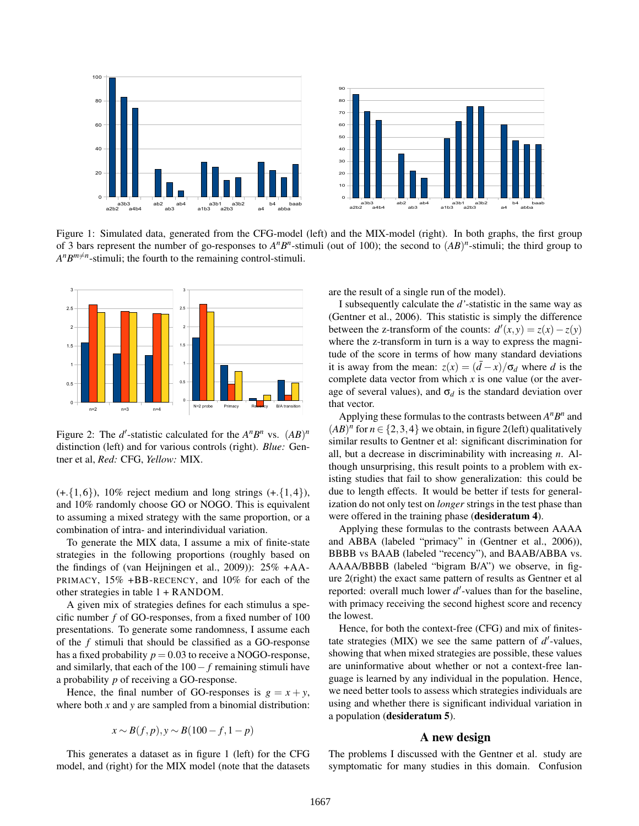

Figure 1: Simulated data, generated from the CFG-model (left) and the MIX-model (right). In both graphs, the first group of 3 bars represent the number of go-responses to  $A^nB^n$ -stimuli (out of 100); the second to  $(AB)^n$ -stimuli; the third group to  $A^n B^{m \neq n}$ -stimuli; the fourth to the remaining control-stimuli.



Figure 2: The *d'*-statistic calculated for the  $A^nB^n$  vs.  $(AB)^n$ distinction (left) and for various controls (right). *Blue:* Gentner et al, *Red:* CFG, *Yellow:* MIX.

combination of intra- and interindividual variation. to assuming a mixed strategy with the same proportion, or a  $(+.\{1,6\})$ , 10% reject medium and long strings  $(+.\{1,4\})$ , and 10% randomly choose GO or NOGO. This is equivalent

other strategies in table  $1 +$  RANDOM. PRIMACY, 15% +BB-RECENCY, and 10% for each of the the findings of (van Heijningen et al., 2009)):  $25\%$  +AA-2 To generate the MIX data, I assume a mix of finite-state strategies in the following proportions (roughly based on

cific number  $f$  of GO-responses, from a fixed number of  $100$ A given mix of strategies defines for each stimulus a spepresentations. To generate some randomness, I assume each of the *f* stimuli that should be classified as a GO-response has a fixed probability  $p = 0.03$  to receive a NOGO-response, and similarly, that each of the 100− *f* remaining stimuli have a probability *p* of receiving a GO-response.

Hence, the final number of GO-responses is  $g = x + y$ , where both *x* and *y* are sampled from a binomial distribution:

$$
x \sim B(f, p), y \sim B(100 - f, 1 - p)
$$

This generates a dataset as in figure 1 (left) for the CFG model, and (right) for the MIX model (note that the datasets are the result of a single run of the model).

where the z-transform in turn is a way to express the magnitude of the score in terms of how many standard deviations it is away from the mean:  $z(x) = (\bar{d} - x)/\sigma_d$  where *d* is the I subsequently calculate the *d'*-statistic in the same way as (Gentner et al., 2006). This statistic is simply the difference between the z-transform of the counts:  $d'(x, y) = z(x) - z(y)$ complete data vector from which  $x$  is one value (or the average of several values), and  $\sigma_d$  is the standard deviation over that vector.

were offered in the training phase (desideratum 4). ization do not only test on *longer* strings in the test phase than isting studies that fail to show generalization: this could be all, but a decrease in discriminability with increasing *n*. Al-Applying these formulas to the contrasts between  $A^n B^n$  and  $(AB)^n$  for  $n \in \{2,3,4\}$  we obtain, in figure 2(left) qualitatively similar results to Gentner et al: significant discrimination for though unsurprising, this result points to a problem with exdue to length effects. It would be better if tests for general-

reported: overall much lower *d'*-values than for the baseline, 0 60 ure 2(right) the exact same pattern of results as Gentner et al AAAA/BBBB (labeled "bigram B/A") we observe, in figand ABBA (labeled "primacy" in (Gentner et al., 2006)), the lowest. with primacy receiving the second highest score and recency BBBB vs BAAB (labeled "recency"), and BAAB/ABBA vs. Applying these formulas to the contrasts between AAAA

are uninformative about whether or not a context-free lanshowing that when mixed strategies are possible, these values tate strategies (MIX) we see the same pattern of  $d'$ -values, Hence, for both the context-free (CFG) and mix of finitesguage is learned by any individual in the population. Hence, we need better tools to assess which strategies individuals are using and whether there is significant individual variation in a population (desideratum 5).

#### A new design

The problems I discussed with the Gentner et al. study are symptomatic for many studies in this domain. Confusion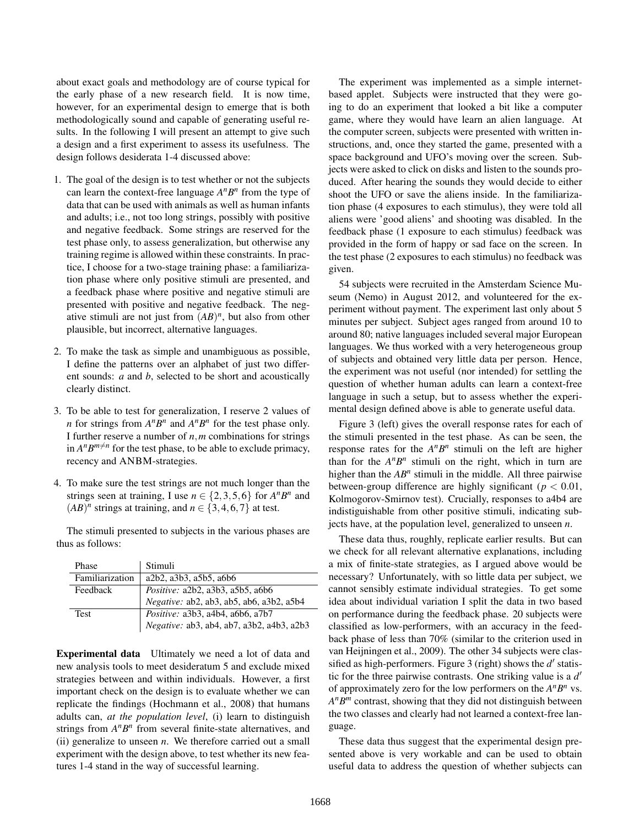about exact goals and methodology are of course typical for the early phase of a new research field. It is now time, however, for an experimental design to emerge that is both methodologically sound and capable of generating useful results. In the following I will present an attempt to give such a design and a first experiment to assess its usefulness. The design follows desiderata 1-4 discussed above:

- 1. The goal of the design is to test whether or not the subjects can learn the context-free language  $A^nB^n$  from the type of data that can be used with animals as well as human infants and adults; i.e., not too long strings, possibly with positive and negative feedback. Some strings are reserved for the test phase only, to assess generalization, but otherwise any training regime is allowed within these constraints. In practice, I choose for a two-stage training phase: a familiarization phase where only positive stimuli are presented, and a feedback phase where positive and negative stimuli are presented with positive and negative feedback. The negative stimuli are not just from  $(AB)^n$ , but also from other plausible, but incorrect, alternative languages.
- 2. To make the task as simple and unambiguous as possible, I define the patterns over an alphabet of just two different sounds: *a* and *b*, selected to be short and acoustically clearly distinct.
- 3. To be able to test for generalization, I reserve 2 values of *n* for strings from  $A^nB^n$  and  $A^nB^n$  for the test phase only. I further reserve a number of *n*,*m* combinations for strings in  $A^n B^{m \neq n}$  for the test phase, to be able to exclude primacy, recency and ANBM-strategies.
- 4. To make sure the test strings are not much longer than the strings seen at training, I use  $n \in \{2, 3, 5, 6\}$  for  $A^n B^n$  and  $(AB)^n$  strings at training, and  $n \in \{3, 4, 6, 7\}$  at test.

The stimuli presented to subjects in the various phases are thus as follows:

| Phase           | Stimuli                                   |  |  |  |  |  |  |
|-----------------|-------------------------------------------|--|--|--|--|--|--|
| Familiarization | a2b2, a3b3, a5b5, a6b6                    |  |  |  |  |  |  |
| Feedback        | <i>Positive:</i> a2b2, a3b3, a5b5, a6b6   |  |  |  |  |  |  |
|                 | Negative: ab2, ab3, ab5, ab6, a3b2, a5b4  |  |  |  |  |  |  |
| <b>Test</b>     | Positive: a3b3, a4b4, a6b6, a7b7          |  |  |  |  |  |  |
|                 | Negative: ab3, ab4, ab7, a3b2, a4b3, a2b3 |  |  |  |  |  |  |

Experimental data Ultimately we need a lot of data and new analysis tools to meet desideratum 5 and exclude mixed strategies between and within individuals. However, a first important check on the design is to evaluate whether we can replicate the findings (Hochmann et al., 2008) that humans adults can, *at the population level*, (i) learn to distinguish strings from  $A^nB^n$  from several finite-state alternatives, and (ii) generalize to unseen *n*. We therefore carried out a small experiment with the design above, to test whether its new features 1-4 stand in the way of successful learning.

The experiment was implemented as a simple internetbased applet. Subjects were instructed that they were going to do an experiment that looked a bit like a computer game, where they would have learn an alien language. At the computer screen, subjects were presented with written instructions, and, once they started the game, presented with a space background and UFO's moving over the screen. Subjects were asked to click on disks and listen to the sounds produced. After hearing the sounds they would decide to either shoot the UFO or save the aliens inside. In the familiarization phase (4 exposures to each stimulus), they were told all aliens were 'good aliens' and shooting was disabled. In the feedback phase (1 exposure to each stimulus) feedback was provided in the form of happy or sad face on the screen. In the test phase (2 exposures to each stimulus) no feedback was given.

54 subjects were recruited in the Amsterdam Science Museum (Nemo) in August 2012, and volunteered for the experiment without payment. The experiment last only about 5 minutes per subject. Subject ages ranged from around 10 to around 80; native languages included several major European languages. We thus worked with a very heterogeneous group of subjects and obtained very little data per person. Hence, the experiment was not useful (nor intended) for settling the question of whether human adults can learn a context-free language in such a setup, but to assess whether the experimental design defined above is able to generate useful data.

Figure 3 (left) gives the overall response rates for each of the stimuli presented in the test phase. As can be seen, the response rates for the  $A^n B^n$  stimuli on the left are higher than for the  $A^n B^n$  stimuli on the right, which in turn are higher than the  $AB^n$  stimuli in the middle. All three pairwise between-group difference are highly significant ( $p < 0.01$ , Kolmogorov-Smirnov test). Crucially, responses to a4b4 are indistiguishable from other positive stimuli, indicating subjects have, at the population level, generalized to unseen *n*.

These data thus, roughly, replicate earlier results. But can we check for all relevant alternative explanations, including a mix of finite-state strategies, as I argued above would be necessary? Unfortunately, with so little data per subject, we cannot sensibly estimate individual strategies. To get some idea about individual variation I split the data in two based on performance during the feedback phase. 20 subjects were classified as low-performers, with an accuracy in the feedback phase of less than 70% (similar to the criterion used in van Heijningen et al., 2009). The other 34 subjects were classified as high-performers. Figure  $3$  (right) shows the  $d'$  statistic for the three pairwise contrasts. One striking value is a  $d'$ of approximately zero for the low performers on the  $A^nB^n$  vs.  $A^n B^m$  contrast, showing that they did not distinguish between the two classes and clearly had not learned a context-free language.

These data thus suggest that the experimental design presented above is very workable and can be used to obtain useful data to address the question of whether subjects can